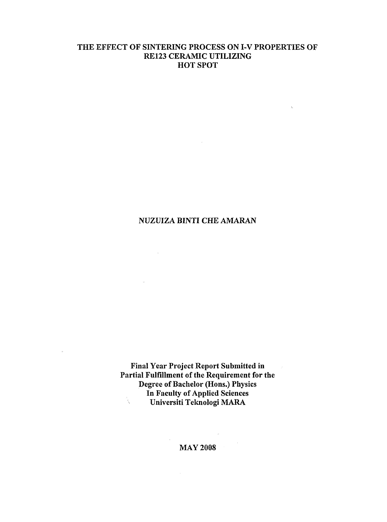## THE EFFECT OF SINTERING PROCESS ON I-V PROPERTIES OF RE123 CERAMIC UTILIZING HOT SPOT

 $\lambda_{\rm c}$ 

 $\mathcal{A}^{\mathcal{A}}$ 

### NUZUIZA BINTI CHE AMARAN

 $\alpha$  ,  $\alpha$ 

 $\bar{u}$ 

 $\bar{p}$ 

 $\mathcal{L}_{\mathbf{z}}$  .

Final Year Project Report Submitted in Partial Fulfillment of the Requirement for the Degree of Bachelor (Hons.) Physics In Faculty of Applied Sciences k<br>K Universiti Teknologi MARA

MAY 2008

 $\sim$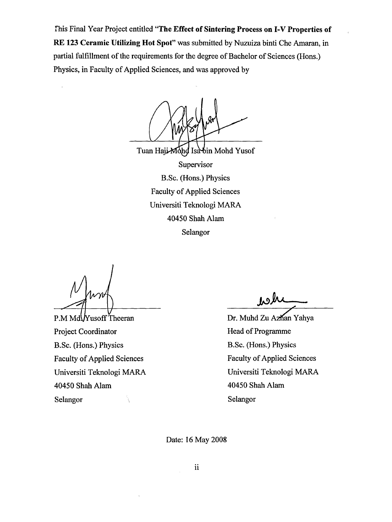rhis Final Year Project entitled **"The Effect of Sintering Process on I-V Properties of RE 123 Ceramic Utilizing Hot Spot"** was submitted by Nuzuiza binti Che Amaran, in partial fulfillment of the requirements for the degree of Bachelor of Sciences (Hons.) Physics, in Faculty of Applied Sciences, and was approved by

Tuan Haji Mohd Isa bin Mohd Yusof Supervisor B.Sc. (Hons.) Physics Faculty of Applied Sciences Universiti Teknologi MARA 40450 Shah Alam Selangor

 $\hat{\boldsymbol{s}}$ 

P.M MdV Yusoff Theeran Project Coordinator B.Sc. (Hons.) Physics Faculty of Applied Sciences Universiti Teknologi MARA 40450 Shah Alam Selangor

**jk>A\*** 

Dr. Muhd Zu Azhan Yahya Head of Programme B.Sc. (Hons.) Physics Faculty of Applied Sciences Universiti Teknologi MARA 40450 Shah Alam Selangor

Date: 16 May 2008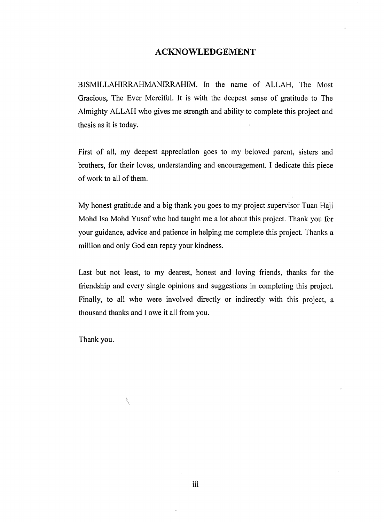### **ACKNOWLEDGEMENT**

BISMILLAHIRRAHMANIRRAHIM. In the name of ALLAH, The Most Gracious, The Ever Merciful. It is with the deepest sense of gratitude to The Almighty ALLAH who gives me strength and ability to complete this project and thesis as it is today.

First of all, my deepest appreciation goes to my beloved parent, sisters and brothers, for their loves, understanding and encouragement. I dedicate this piece of work to all of them.

My honest gratitude and a big thank you goes to my project supervisor Tuan Haji Mohd Isa Mohd Yusof who had taught me a lot about this project. Thank you for your guidance, advice and patience in helping me complete this project. Thanks a million and only God can repay your kindness.

Last but not least, to my dearest, honest and loving friends, thanks for the friendship and every single opinions and suggestions in completing this project. Finally, to all who were involved directly or indirectly with this project, a thousand thanks and I owe it all from you.

Thank you.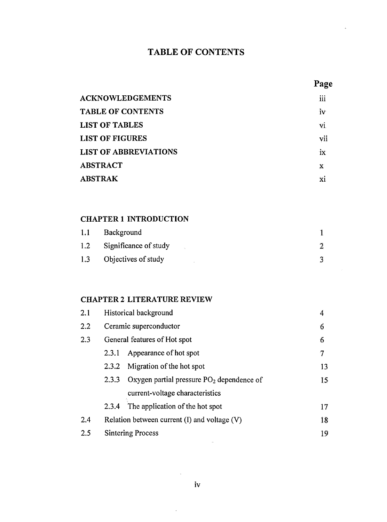# **TABLE OF CONTENTS**

| $200^{\circ}$ |
|---------------|
|---------------|

| <b>ACKNOWLEDGEMENTS</b>      | iii |
|------------------------------|-----|
| <b>TABLE OF CONTENTS</b>     | Ìν  |
| <b>LIST OF TABLES</b>        | vi  |
| <b>LIST OF FIGURES</b>       | vii |
| <b>LIST OF ABBREVIATIONS</b> | ix  |
| <b>ABSTRACT</b>              | x   |
| <b>ABSTRAK</b>               | хi  |

## **CHAPTER 1 INTRODUCTION**

| 1.1 | Background            |  |
|-----|-----------------------|--|
| 1.2 | Significance of study |  |
| 1.3 | Objectives of study   |  |

# **CHAPTER 2 LITERATURE REVIEW**

| 2.1 | Historical background                            | 4                                           |    |  |  |
|-----|--------------------------------------------------|---------------------------------------------|----|--|--|
| 2.2 |                                                  | Ceramic superconductor                      |    |  |  |
| 2.3 | General features of Hot spot                     |                                             | 6  |  |  |
|     | 2.3.1                                            | Appearance of hot spot                      | 7  |  |  |
|     | 2.3.2                                            | Migration of the hot spot                   | 13 |  |  |
|     | 2.3.3                                            | Oxygen partial pressure $PO2$ dependence of | 15 |  |  |
|     |                                                  | current-voltage characteristics             |    |  |  |
|     | 2.3.4                                            | The application of the hot spot             | 17 |  |  |
| 2.4 | Relation between current $(I)$ and voltage $(V)$ |                                             | 18 |  |  |
| 2.5 | <b>Sintering Process</b>                         |                                             | 19 |  |  |
|     |                                                  |                                             |    |  |  |